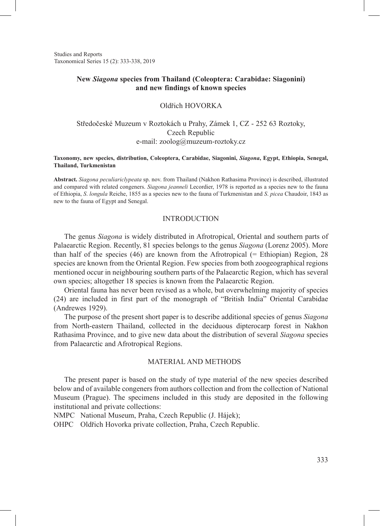Studies and Reports Taxonomical Series 15 (2): 333-338, 2019

# **New** *Siagona* **species from Thailand (Coleoptera: Carabidae: Siagonini) and new findings of known species**

### Oldřich HOVORKA

# Středočeské Muzeum v Roztokách u Prahy, Zámek 1, CZ - 252 63 Roztoky, Czech Republic e-mail: zoolog@muzeum-roztoky.cz

#### **Taxonomy, new species, distribution, Coleoptera, Carabidae, Siagonini,** *Siagona***, Egypt, Ethiopia, Senegal, Thailand, Turkmenistan**

**Abstract.** *Siagona peculiariclypeata* sp. nov. from Thailand (Nakhon Rathasima Province) is described, illustrated and compared with related congeners. *Siagona jeanneli* Lecordier, 1978 is reported as a species new to the fauna of Ethiopia, *S*. *longula* Reiche, 1855 as a species new to the fauna of Turkmenistan and *S*. *picea* Chaudoir, 1843 as new to the fauna of Egypt and Senegal.

### INTRODUCTION

The genus *Siagona* is widely distributed in Afrotropical, Oriental and southern parts of Palaearctic Region. Recently, 81 species belongs to the genus *Siagona* (Lorenz 2005). More than half of the species (46) are known from the Afrotropical (= Ethiopian) Region, 28 species are known from the Oriental Region. Few species from both zoogeographical regions mentioned occur in neighbouring southern parts of the Palaearctic Region, which has several own species; altogether 18 species is known from the Palaearctic Region.

Oriental fauna has never been revised as a whole, but overwhelming majority of species (24) are included in first part of the monograph of "British India" Oriental Carabidae (Andrewes 1929).

The purpose of the present short paper is to describe additional species of genus *Siagona* from North-eastern Thailand, collected in the deciduous dipterocarp forest in Nakhon Rathasima Province, and to give new data about the distribution of several *Siagona* species from Palaearctic and Afrotropical Regions.

#### MATERIAL AND METHODS

The present paper is based on the study of type material of the new species described below and of available congeners from authors collection and from the collection of National Museum (Prague). The specimens included in this study are deposited in the following institutional and private collections:

NMPC National Museum, Praha, Czech Republic (J. Hájek);

OHPC Oldřich Hovorka private collection, Praha, Czech Republic.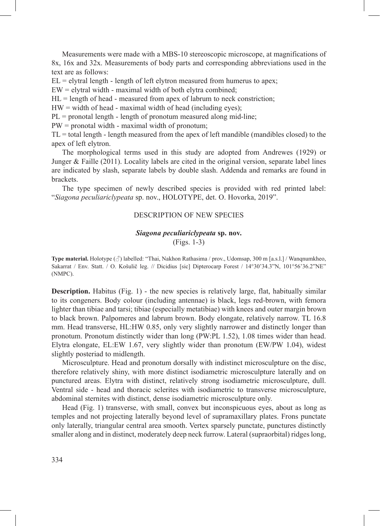Measurements were made with a MBS-10 stereoscopic microscope, at magnifications of 8x, 16x and 32x. Measurements of body parts and corresponding abbreviations used in the text are as follows:

 $EL = e$  lytral length - length of left elytron measured from humerus to apex;

 $EW =$  elytral width - maximal width of both elytra combined;

 $HL$  = length of head - measured from apex of labrum to neck constriction;

 $HW = width of head - maximal width of head (including eyes);$ 

 $PL =$  pronotal length - length of pronotum measured along mid-line;

PW = pronotal width - maximal width of pronotum;

TL = total length - length measured from the apex of left mandible (mandibles closed) to the apex of left elytron.

The morphological terms used in this study are adopted from Andrewes (1929) or Junger & Faille (2011). Locality labels are cited in the original version, separate label lines are indicated by slash, separate labels by double slash. Addenda and remarks are found in brackets.

The type specimen of newly described species is provided with red printed label: "*Siagona peculiariclypeata* sp. nov., HOLOTYPE, det. O. Hovorka, 2019".

## DESCRIPTION OF NEW SPECIES

# *Siagona peculiariclypeata* **sp. nov.** (Figs. 1-3)

**Type material.** Holotype (♂) labelled: "Thai, Nakhon Rathasima / prov., Udomsap, 300 m [a.s.l.] / Wanqnumkheo, Sakarrat / Env. Statt. / O. Košulič leg. // Dicidius [sic] Dipterocarp Forest / 14°30'34.3"N, 101°56'36.2"NE" (NMPC).

**Description.** Habitus (Fig. 1) - the new species is relatively large, flat, habitually similar to its congeners. Body colour (including antennae) is black, legs red-brown, with femora lighter than tibiae and tarsi; tibiae (especially metatibiae) with knees and outer margin brown to black brown. Palpomeres and labrum brown. Body elongate, relatively narrow. TL 16.8 mm. Head transverse, HL:HW 0.85, only very slightly narrower and distinctly longer than pronotum. Pronotum distinctly wider than long (PW:PL 1.52), 1.08 times wider than head. Elytra elongate, EL:EW 1.67, very slightly wider than pronotum (EW/PW 1.04), widest slightly posteriad to midlength.

Microsculpture. Head and pronotum dorsally with indistinct microsculpture on the disc, therefore relatively shiny, with more distinct isodiametric microsculpture laterally and on punctured areas. Elytra with distinct, relatively strong isodiametric microsculpture, dull. Ventral side - head and thoracic sclerites with isodiametric to transverse microsculpture, abdominal sternites with distinct, dense isodiametric microsculpture only.

Head (Fig. 1) transverse, with small, convex but inconspicuous eyes, about as long as temples and not projecting laterally beyond level of supramaxillary plates. Frons punctate only laterally, triangular central area smooth. Vertex sparsely punctate, punctures distinctly smaller along and in distinct, moderately deep neck furrow. Lateral (supraorbital) ridges long,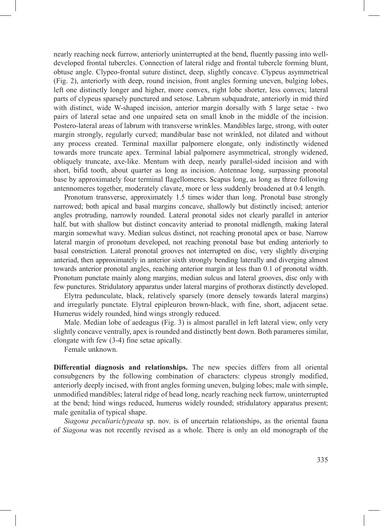nearly reaching neck furrow, anteriorly uninterrupted at the bend, fluently passing into welldeveloped frontal tubercles. Connection of lateral ridge and frontal tubercle forming blunt, obtuse angle. Clypeo-frontal suture distinct, deep, slightly concave. Clypeus asymmetrical (Fig. 2), anteriorly with deep, round incision, front angles forming uneven, bulging lobes, left one distinctly longer and higher, more convex, right lobe shorter, less convex; lateral parts of clypeus sparsely punctured and setose. Labrum subquadrate, anteriorly in mid third with distinct, wide W-shaped incision, anterior margin dorsally with 5 large setae - two pairs of lateral setae and one unpaired seta on small knob in the middle of the incision. Postero-lateral areas of labrum with transverse wrinkles. Mandibles large, strong, with outer margin strongly, regularly curved; mandibular base not wrinkled, not dilated and without any process created. Terminal maxillar palpomere elongate, only indistinctly widened towards more truncate apex. Terminal labial palpomere asymmetrical, strongly widened, obliquely truncate, axe-like. Mentum with deep, nearly parallel-sided incision and with short, bifid tooth, about quarter as long as incision. Antennae long, surpassing pronotal base by approximately four terminal flagellomeres. Scapus long, as long as three following antennomeres together, moderately clavate, more or less suddenly broadened at 0.4 length.

Pronotum transverse, approximately 1.5 times wider than long. Pronotal base strongly narrowed; both apical and basal margins concave, shallowly but distinctly incised; anterior angles protruding, narrowly rounded. Lateral pronotal sides not clearly parallel in anterior half, but with shallow but distinct concavity anteriad to pronotal midlength, making lateral margin somewhat wavy. Median sulcus distinct, not reaching pronotal apex or base. Narrow lateral margin of pronotum developed, not reaching pronotal base but ending anteriorly to basal constriction. Lateral pronotal grooves not interrupted on disc, very slightly diverging anteriad, then approximately in anterior sixth strongly bending laterally and diverging almost towards anterior pronotal angles, reaching anterior margin at less than 0.1 of pronotal width. Pronotum punctate mainly along margins, median sulcus and lateral grooves, disc only with few punctures. Stridulatory apparatus under lateral margins of prothorax distinctly developed.

Elytra pedunculate, black, relatively sparsely (more densely towards lateral margins) and irregularly punctate. Elytral epipleuron brown-black, with fine, short, adjacent setae. Humerus widely rounded, hind wings strongly reduced.

Male. Median lobe of aedeagus (Fig. 3) is almost parallel in left lateral view, only very slightly concave ventrally, apex is rounded and distinctly bent down. Both parameres similar, elongate with few (3-4) fine setae apically.

Female unknown.

**Differential diagnosis and relationships.** The new species differs from all oriental consubgeners by the following combination of characters: clypeus strongly modified, anteriorly deeply incised, with front angles forming uneven, bulging lobes; male with simple, unmodified mandibles; lateral ridge of head long, nearly reaching neck furrow, uninterrupted at the bend; hind wings reduced, humerus widely rounded; stridulatory apparatus present; male genitalia of typical shape.

*Siagona peculiariclypeata* sp. nov. is of uncertain relationships, as the oriental fauna of *Siagona* was not recently revised as a whole. There is only an old monograph of the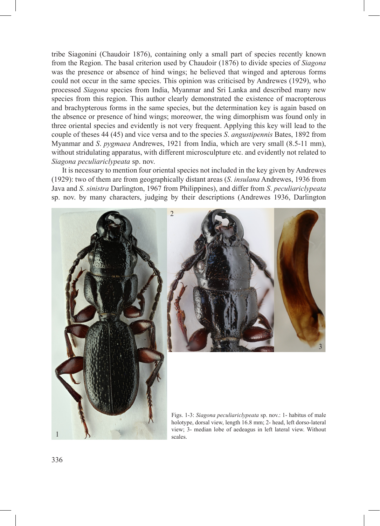tribe Siagonini (Chaudoir 1876), containing only a small part of species recently known from the Region. The basal criterion used by Chaudoir (1876) to divide species of *Siagona* was the presence or absence of hind wings; he believed that winged and apterous forms could not occur in the same species. This opinion was criticised by Andrewes (1929), who processed *Siagona* species from India, Myanmar and Sri Lanka and described many new species from this region. This author clearly demonstrated the existence of macropterous and brachypterous forms in the same species, but the determination key is again based on the absence or presence of hind wings; moreower, the wing dimorphism was found only in three oriental species and evidently is not very frequent. Applying this key will lead to the couple of theses 44 (45) and vice versa and to the species *S*. *angustipennis* Bates, 1892 from Myanmar and *S*. *pygmaea* Andrewes, 1921 from India, which are very small (8.5-11 mm), without stridulating apparatus, with different microsculpture etc. and evidently not related to *Siagona peculiariclypeata* sp. nov.

It is necessary to mention four oriental species not included in the key given by Andrewes (1929): two of them are from geographically distant areas (*S*. *insulana* Andrewes, 1936 from Java and *S*. *sinistra* Darlington, 1967 from Philippines), and differ from *S*. *peculiariclypeata*  sp. nov. by many characters, judging by their descriptions (Andrewes 1936, Darlington





Figs. 1-3: *Siagona peculiariclypeata* sp. nov.: 1- habitus of male holotype, dorsal view, length 16.8 mm; 2- head, left dorso-lateral view; 3- median lobe of aedeagus in left lateral view. Without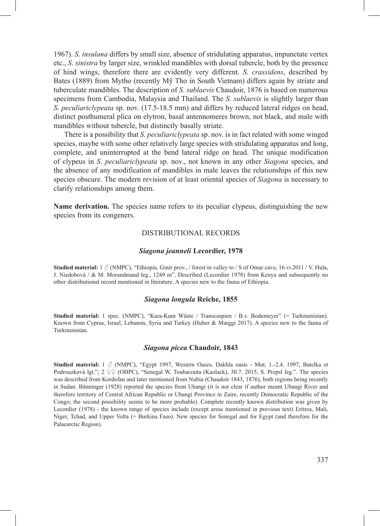1967). *S*. *insulana* differs by small size, absence of stridulating apparatus, impunctate vertex etc., *S*. *sinistra* by larger size, wrinkled mandibles with dorsal tubercle, both by the presence of hind wings, therefore there are evidently very different. *S*. *crassidens*, described by Bates (1889) from Mytho (recently Mỹ Tho in South Vietnam) differs again by striate and tuberculate mandibles. The description of *S*. *sublaevis* Chaudoir, 1876 is based on numerous specimens from Cambodia, Malaysia and Thailand. The *S*. *sublaevis* is slightly larger than *S*. *peculiariclypeata* sp. nov. (17.5-18.5 mm) and differs by reduced lateral ridges on head, distinct posthumeral plica on elytron, basal antennomeres brown, not black, and male with mandibles without tubercle, but distinctly basally striate.

There is a possibility that *S*. *peculiariclypeata* sp. nov. is in fact related with some winged species, maybe with some other relatively large species with stridulating apparatus and long, complete, and uninterrupted at the bend lateral ridge on head. The unique modification of clypeus in *S*. *peculiariclypeata* sp. nov., not known in any other *Siagona* species, and the absence of any modification of mandibles in male leaves the relationships of this new species obscure. The modern revision of at least oriental species of *Siagona* is necessary to clarify relationships among them.

**Name derivation.** The species name refers to its peculiar clypeus, distinguishing the new species from its congeners.

# DISTRIBUTIONAL RECORDS

#### *Siagona jeanneli* **Lecordier, 1978**

**Studied material:**  $1 \text{ } \textcircled{}$  (NMPC), "Ethiopia, Ginir prov., / forest in valley to / S of Omar cave, 16.vi.2011 / V. Hula, J. Niedobová / & M. Morandmand leg., 1249 m". Described (Lecordier 1978) from Kenya and subsequently no other distributional record mentioned in literature. A species new to the fauna of Ethiopia.

### *Siagona longula* **Reiche, 1855**

**Studied material:** 1 spec. (NMPC), "Kara-Kum Wüste / Transcaspien / B.v. Bodemeyer" (= Turkmenistan). Known from Cyprus, Israel, Lebanon, Syria and Turkey (Huber & Marggi 2017). A species new to the fauna of Turkmenistan.

#### *Siagona picea* **Chaudoir, 1843**

**Studied material:** 1 ♂ (NMPC), "Egypt 1997, Western Oases, Dakhla oasis - Mut, 1.-2.4. 1997, Batelka et Podrouzková lgt."; 2 ♀♀ (OHPC), "Senegal W, Toubacouta (Kaolack), 30.7. 2015, S. Prepsl leg.". The species was described from Kordofan and later mentioned from Nubia (Chaudoir 1843, 1876), both regions being recently in Sudan. Bänninger (1928) reported the species from Ubangi (it is not clear if author meant Ubangi River and therefore territory of Central African Republic or Ubangi Province in Zaire, recently Democratic Republic of the Congo; the second possibility seems to be more probable). Complete recently known distribution was given by Lecordier (1978) - the known range of species include (except areas mentioned in previous text) Eritrea, Mali, Niger, Tchad, and Upper Volta (= Burkina Faso). New species for Senegal and for Egypt (and therefore for the Palaearctic Region).